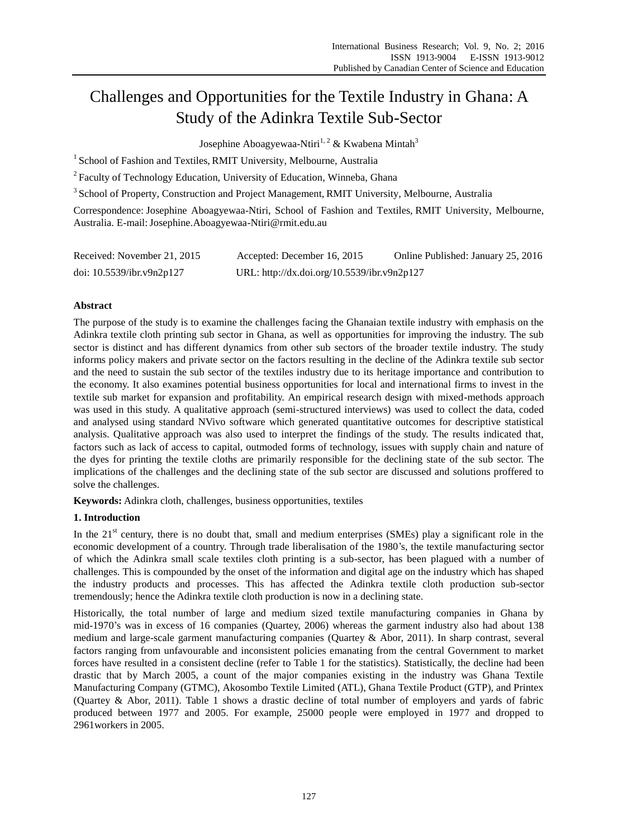# Challenges and Opportunities for the Textile Industry in Ghana: A Study of the Adinkra Textile Sub-Sector

Josephine Aboagyewaa-Ntiri<sup>1, 2</sup> & Kwabena Mintah<sup>3</sup>

<sup>1</sup> School of Fashion and Textiles, RMIT University, Melbourne, Australia

<sup>2</sup> Faculty of Technology Education, University of Education, Winneba, Ghana

<sup>3</sup> School of Property, Construction and Project Management, RMIT University, Melbourne, Australia

Correspondence: Josephine Aboagyewaa-Ntiri, School of Fashion and Textiles, RMIT University, Melbourne, Australia. E-mail:Josephine.Aboagyewaa-Ntiri@rmit.edu.au

| Received: November 21, 2015  | Accepted: December 16, 2015                 | Online Published: January 25, 2016 |  |
|------------------------------|---------------------------------------------|------------------------------------|--|
| doi: $10.5539$ /ibr.v9n2p127 | URL: http://dx.doi.org/10.5539/ibr.v9n2p127 |                                    |  |

# **Abstract**

The purpose of the study is to examine the challenges facing the Ghanaian textile industry with emphasis on the Adinkra textile cloth printing sub sector in Ghana, as well as opportunities for improving the industry. The sub sector is distinct and has different dynamics from other sub sectors of the broader textile industry. The study informs policy makers and private sector on the factors resulting in the decline of the Adinkra textile sub sector and the need to sustain the sub sector of the textiles industry due to its heritage importance and contribution to the economy. It also examines potential business opportunities for local and international firms to invest in the textile sub market for expansion and profitability. An empirical research design with mixed-methods approach was used in this study. A qualitative approach (semi-structured interviews) was used to collect the data, coded and analysed using standard NVivo software which generated quantitative outcomes for descriptive statistical analysis. Qualitative approach was also used to interpret the findings of the study. The results indicated that, factors such as lack of access to capital, outmoded forms of technology, issues with supply chain and nature of the dyes for printing the textile cloths are primarily responsible for the declining state of the sub sector. The implications of the challenges and the declining state of the sub sector are discussed and solutions proffered to solve the challenges.

**Keywords:** Adinkra cloth, challenges, business opportunities, textiles

# **1. Introduction**

In the  $21<sup>st</sup>$  century, there is no doubt that, small and medium enterprises (SMEs) play a significant role in the economic development of a country. Through trade liberalisation of the 1980's, the textile manufacturing sector of which the Adinkra small scale textiles cloth printing is a sub-sector, has been plagued with a number of challenges. This is compounded by the onset of the information and digital age on the industry which has shaped the industry products and processes. This has affected the Adinkra textile cloth production sub-sector tremendously; hence the Adinkra textile cloth production is now in a declining state.

Historically, the total number of large and medium sized textile manufacturing companies in Ghana by mid-1970's was in excess of 16 companies (Quartey, 2006) whereas the garment industry also had about 138 medium and large-scale garment manufacturing companies (Quartey & Abor, 2011). In sharp contrast, several factors ranging from unfavourable and inconsistent policies emanating from the central Government to market forces have resulted in a consistent decline (refer to Table 1 for the statistics). Statistically, the decline had been drastic that by March 2005, a count of the major companies existing in the industry was Ghana Textile Manufacturing Company (GTMC), Akosombo Textile Limited (ATL), Ghana Textile Product (GTP), and Printex (Quartey & Abor, 2011). Table 1 shows a drastic decline of total number of employers and yards of fabric produced between 1977 and 2005. For example, 25000 people were employed in 1977 and dropped to 2961workers in 2005.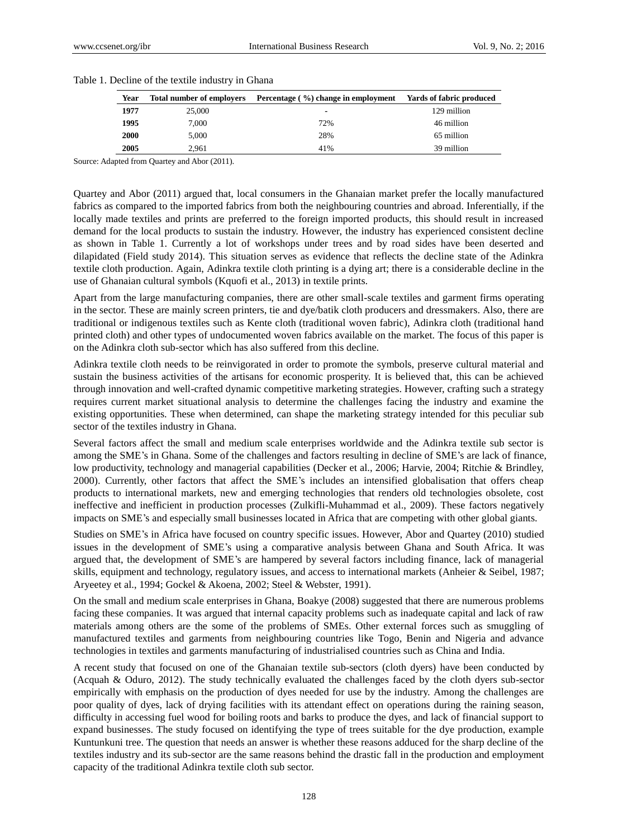| Year | <b>Total number of employers</b> | Percentage (%) change in employment | Yards of fabric produced |
|------|----------------------------------|-------------------------------------|--------------------------|
| 1977 | 25,000                           | -                                   | 129 million              |
| 1995 | 7,000                            | 72%                                 | 46 million               |
| 2000 | 5,000                            | 28%                                 | 65 million               |
| 2005 | 2.961                            | 41%                                 | 39 million               |

| Table 1. Decline of the textile industry in Ghana |  |  |  |  |  |  |  |
|---------------------------------------------------|--|--|--|--|--|--|--|
|---------------------------------------------------|--|--|--|--|--|--|--|

Source: Adapted from Quartey and Abor (2011).

Quartey and Abor (2011) argued that, local consumers in the Ghanaian market prefer the locally manufactured fabrics as compared to the imported fabrics from both the neighbouring countries and abroad. Inferentially, if the locally made textiles and prints are preferred to the foreign imported products, this should result in increased demand for the local products to sustain the industry. However, the industry has experienced consistent decline as shown in Table 1. Currently a lot of workshops under trees and by road sides have been deserted and dilapidated (Field study 2014). This situation serves as evidence that reflects the decline state of the Adinkra textile cloth production. Again, Adinkra textile cloth printing is a dying art; there is a considerable decline in the use of Ghanaian cultural symbols (Kquofi et al., 2013) in textile prints.

Apart from the large manufacturing companies, there are other small-scale textiles and garment firms operating in the sector. These are mainly screen printers, tie and dye/batik cloth producers and dressmakers. Also, there are traditional or indigenous textiles such as Kente cloth (traditional woven fabric), Adinkra cloth (traditional hand printed cloth) and other types of undocumented woven fabrics available on the market. The focus of this paper is on the Adinkra cloth sub-sector which has also suffered from this decline.

Adinkra textile cloth needs to be reinvigorated in order to promote the symbols, preserve cultural material and sustain the business activities of the artisans for economic prosperity. It is believed that, this can be achieved through innovation and well-crafted dynamic competitive marketing strategies. However, crafting such a strategy requires current market situational analysis to determine the challenges facing the industry and examine the existing opportunities. These when determined, can shape the marketing strategy intended for this peculiar sub sector of the textiles industry in Ghana.

Several factors affect the small and medium scale enterprises worldwide and the Adinkra textile sub sector is among the SME's in Ghana. Some of the challenges and factors resulting in decline of SME's are lack of finance, low productivity, technology and managerial capabilities (Decker et al., 2006; Harvie, 2004; Ritchie & Brindley, 2000). Currently, other factors that affect the SME's includes an intensified globalisation that offers cheap products to international markets, new and emerging technologies that renders old technologies obsolete, cost ineffective and inefficient in production processes (Zulkifli-Muhammad et al., 2009). These factors negatively impacts on SME's and especially small businesses located in Africa that are competing with other global giants.

Studies on SME's in Africa have focused on country specific issues. However, Abor and Quartey (2010) studied issues in the development of SME's using a comparative analysis between Ghana and South Africa. It was argued that, the development of SME's are hampered by several factors including finance, lack of managerial skills, equipment and technology, regulatory issues, and access to international markets (Anheier & Seibel, 1987; Aryeetey et al., 1994; Gockel & Akoena, 2002; Steel & Webster, 1991).

On the small and medium scale enterprises in Ghana, Boakye (2008) suggested that there are numerous problems facing these companies. It was argued that internal capacity problems such as inadequate capital and lack of raw materials among others are the some of the problems of SMEs. Other external forces such as smuggling of manufactured textiles and garments from neighbouring countries like Togo, Benin and Nigeria and advance technologies in textiles and garments manufacturing of industrialised countries such as China and India.

A recent study that focused on one of the Ghanaian textile sub-sectors (cloth dyers) have been conducted by (Acquah & Oduro, 2012). The study technically evaluated the challenges faced by the cloth dyers sub-sector empirically with emphasis on the production of dyes needed for use by the industry. Among the challenges are poor quality of dyes, lack of drying facilities with its attendant effect on operations during the raining season, difficulty in accessing fuel wood for boiling roots and barks to produce the dyes, and lack of financial support to expand businesses. The study focused on identifying the type of trees suitable for the dye production, example Kuntunkuni tree. The question that needs an answer is whether these reasons adduced for the sharp decline of the textiles industry and its sub-sector are the same reasons behind the drastic fall in the production and employment capacity of the traditional Adinkra textile cloth sub sector.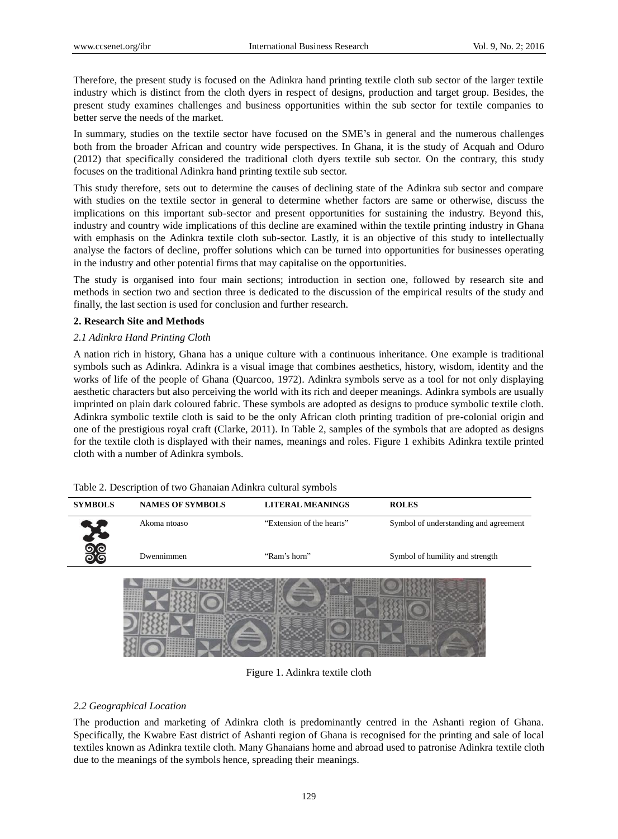Therefore, the present study is focused on the Adinkra hand printing textile cloth sub sector of the larger textile industry which is distinct from the cloth dyers in respect of designs, production and target group. Besides, the present study examines challenges and business opportunities within the sub sector for textile companies to better serve the needs of the market.

In summary, studies on the textile sector have focused on the SME's in general and the numerous challenges both from the broader African and country wide perspectives. In Ghana, it is the study of Acquah and Oduro (2012) that specifically considered the traditional cloth dyers textile sub sector. On the contrary, this study focuses on the traditional Adinkra hand printing textile sub sector.

This study therefore, sets out to determine the causes of declining state of the Adinkra sub sector and compare with studies on the textile sector in general to determine whether factors are same or otherwise, discuss the implications on this important sub-sector and present opportunities for sustaining the industry. Beyond this, industry and country wide implications of this decline are examined within the textile printing industry in Ghana with emphasis on the Adinkra textile cloth sub-sector. Lastly, it is an objective of this study to intellectually analyse the factors of decline, proffer solutions which can be turned into opportunities for businesses operating in the industry and other potential firms that may capitalise on the opportunities.

The study is organised into four main sections; introduction in section one, followed by research site and methods in section two and section three is dedicated to the discussion of the empirical results of the study and finally, the last section is used for conclusion and further research.

## **2. Research Site and Methods**

## *2.1 Adinkra Hand Printing Cloth*

A nation rich in history, Ghana has a unique culture with a continuous inheritance. One example is traditional symbols such as Adinkra. Adinkra is a visual image that combines aesthetics, history, wisdom, identity and the works of life of the people of Ghana (Quarcoo, 1972). Adinkra symbols serve as a tool for not only displaying aesthetic characters but also perceiving the world with its rich and deeper meanings. Adinkra symbols are usually imprinted on plain dark coloured fabric. These symbols are adopted as designs to produce symbolic textile cloth. Adinkra symbolic textile cloth is said to be the only African cloth printing tradition of pre-colonial origin and one of the prestigious royal craft (Clarke, 2011). In Table 2, samples of the symbols that are adopted as designs for the textile cloth is displayed with their names, meanings and roles. Figure 1 exhibits Adinkra textile printed cloth with a number of Adinkra symbols.

| <b>SYMBOLS</b> | <b>NAMES OF SYMBOLS</b> | <b>LITERAL MEANINGS</b>   | <b>ROLES</b>                          |
|----------------|-------------------------|---------------------------|---------------------------------------|
|                | Akoma ntoaso            | "Extension of the hearts" | Symbol of understanding and agreement |
|                | Dwennimmen              | "Ram's horn"              | Symbol of humility and strength       |
|                | $-0.04$<br>------       |                           |                                       |

Table 2. Description of two Ghanaian Adinkra cultural symbols

**OLL JAN** 

Figure 1. Adinkra textile cloth

## *2.2 Geographical Location*

The production and marketing of Adinkra cloth is predominantly centred in the Ashanti region of Ghana. Specifically, the Kwabre East district of Ashanti region of Ghana is recognised for the printing and sale of local textiles known as Adinkra textile cloth. Many Ghanaians home and abroad used to patronise Adinkra textile cloth due to the meanings of the symbols hence, spreading their meanings.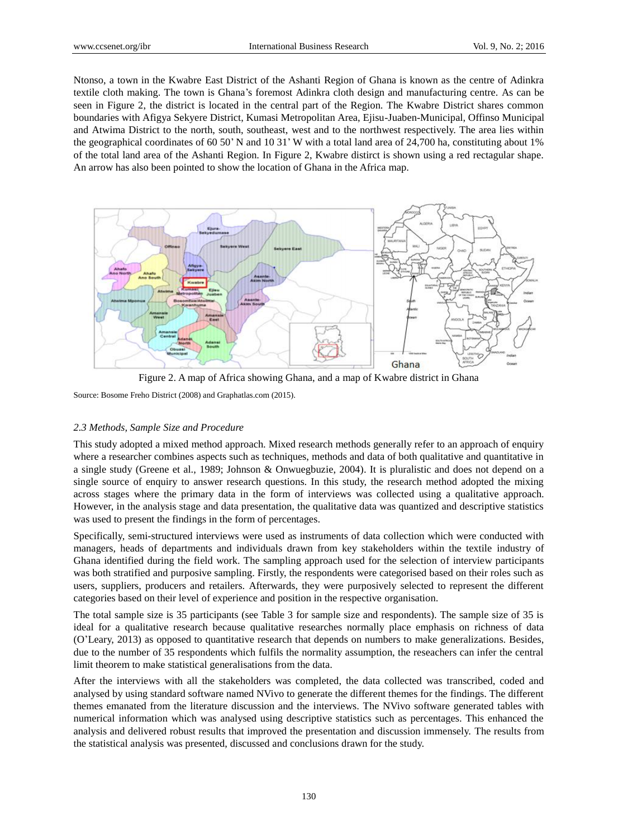Ntonso, a town in the Kwabre East District of the Ashanti Region of Ghana is known as the centre of Adinkra textile cloth making. The town is Ghana's foremost Adinkra cloth design and manufacturing centre. As can be seen in Figure 2, the district is located in the central part of the Region. The Kwabre District shares common boundaries with Afigya Sekyere District, Kumasi Metropolitan Area, Ejisu-Juaben-Municipal, Offinso Municipal and Atwima District to the north, south, southeast, west and to the northwest respectively. The area lies within the geographical coordinates of 60 50' N and 10 31' W with a total land area of 24,700 ha, constituting about 1% of the total land area of the Ashanti Region. In Figure 2, Kwabre distirct is shown using a red rectagular shape. An arrow has also been pointed to show the location of Ghana in the Africa map.





Source: Bosome Freho District (2008) and Graphatlas.com (2015).

# *2.3 Methods, Sample Size and Procedure*

This study adopted a mixed method approach. Mixed research methods generally refer to an approach of enquiry where a researcher combines aspects such as techniques, methods and data of both qualitative and quantitative in a single study (Greene et al., 1989; Johnson & Onwuegbuzie, 2004). It is pluralistic and does not depend on a single source of enquiry to answer research questions. In this study, the research method adopted the mixing across stages where the primary data in the form of interviews was collected using a qualitative approach. However, in the analysis stage and data presentation, the qualitative data was quantized and descriptive statistics was used to present the findings in the form of percentages.

Specifically, semi-structured interviews were used as instruments of data collection which were conducted with managers, heads of departments and individuals drawn from key stakeholders within the textile industry of Ghana identified during the field work. The sampling approach used for the selection of interview participants was both stratified and purposive sampling. Firstly, the respondents were categorised based on their roles such as users, suppliers, producers and retailers. Afterwards, they were purposively selected to represent the different categories based on their level of experience and position in the respective organisation.

The total sample size is 35 participants (see Table 3 for sample size and respondents). The sample size of 35 is ideal for a qualitative research because qualitative researches normally place emphasis on richness of data (O'Leary, 2013) as opposed to quantitative research that depends on numbers to make generalizations. Besides, due to the number of 35 respondents which fulfils the normality assumption, the reseachers can infer the central limit theorem to make statistical generalisations from the data.

After the interviews with all the stakeholders was completed, the data collected was transcribed, coded and analysed by using standard software named NVivo to generate the different themes for the findings. The different themes emanated from the literature discussion and the interviews. The NVivo software generated tables with numerical information which was analysed using descriptive statistics such as percentages. This enhanced the analysis and delivered robust results that improved the presentation and discussion immensely. The results from the statistical analysis was presented, discussed and conclusions drawn for the study.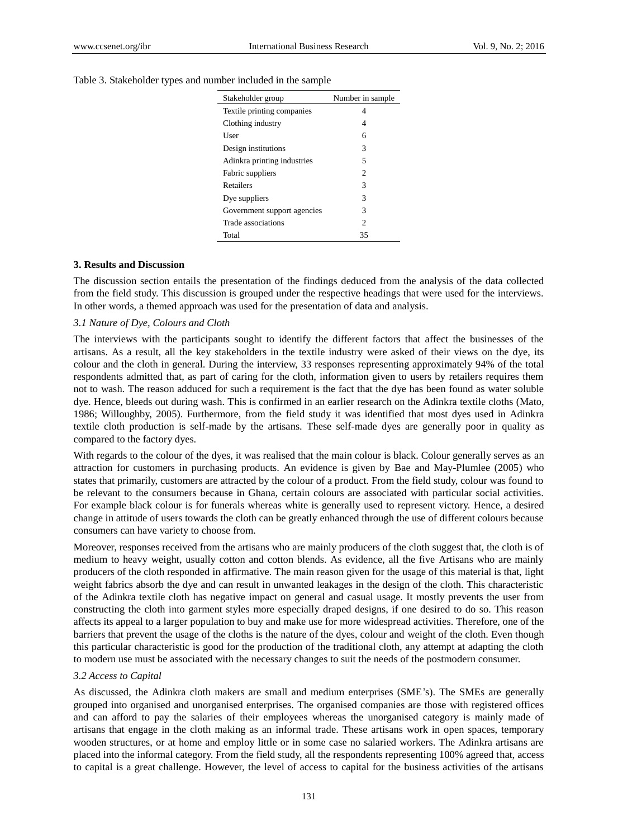| Table 3. Stakeholder types and number included in the sample |  |  |  |  |
|--------------------------------------------------------------|--|--|--|--|
|                                                              |  |  |  |  |

| Stakeholder group           | Number in sample.           |
|-----------------------------|-----------------------------|
| Textile printing companies  | 4                           |
| Clothing industry           | 4                           |
| User                        | 6                           |
| Design institutions         | 3                           |
| Adinkra printing industries | 5                           |
| Fabric suppliers            | $\mathcal{D}_{\mathcal{L}}$ |
| Retailers                   | 3                           |
| Dye suppliers               | 3                           |
| Government support agencies | 3                           |
| Trade associations          | 2                           |
| Total                       | 35                          |

#### **3. Results and Discussion**

The discussion section entails the presentation of the findings deduced from the analysis of the data collected from the field study. This discussion is grouped under the respective headings that were used for the interviews. In other words, a themed approach was used for the presentation of data and analysis.

## *3.1 Nature of Dye, Colours and Cloth*

The interviews with the participants sought to identify the different factors that affect the businesses of the artisans. As a result, all the key stakeholders in the textile industry were asked of their views on the dye, its colour and the cloth in general. During the interview, 33 responses representing approximately 94% of the total respondents admitted that, as part of caring for the cloth, information given to users by retailers requires them not to wash. The reason adduced for such a requirement is the fact that the dye has been found as water soluble dye. Hence, bleeds out during wash. This is confirmed in an earlier research on the Adinkra textile cloths (Mato, 1986; Willoughby, 2005). Furthermore, from the field study it was identified that most dyes used in Adinkra textile cloth production is self-made by the artisans. These self-made dyes are generally poor in quality as compared to the factory dyes.

With regards to the colour of the dyes, it was realised that the main colour is black. Colour generally serves as an attraction for customers in purchasing products. An evidence is given by Bae and May-Plumlee (2005) who states that primarily, customers are attracted by the colour of a product. From the field study, colour was found to be relevant to the consumers because in Ghana, certain colours are associated with particular social activities. For example black colour is for funerals whereas white is generally used to represent victory. Hence, a desired change in attitude of users towards the cloth can be greatly enhanced through the use of different colours because consumers can have variety to choose from.

Moreover, responses received from the artisans who are mainly producers of the cloth suggest that, the cloth is of medium to heavy weight, usually cotton and cotton blends. As evidence, all the five Artisans who are mainly producers of the cloth responded in affirmative. The main reason given for the usage of this material is that, light weight fabrics absorb the dye and can result in unwanted leakages in the design of the cloth. This characteristic of the Adinkra textile cloth has negative impact on general and casual usage. It mostly prevents the user from constructing the cloth into garment styles more especially draped designs, if one desired to do so. This reason affects its appeal to a larger population to buy and make use for more widespread activities. Therefore, one of the barriers that prevent the usage of the cloths is the nature of the dyes, colour and weight of the cloth. Even though this particular characteristic is good for the production of the traditional cloth, any attempt at adapting the cloth to modern use must be associated with the necessary changes to suit the needs of the postmodern consumer.

#### *3.2 Access to Capital*

As discussed, the Adinkra cloth makers are small and medium enterprises (SME's). The SMEs are generally grouped into organised and unorganised enterprises. The organised companies are those with registered offices and can afford to pay the salaries of their employees whereas the unorganised category is mainly made of artisans that engage in the cloth making as an informal trade. These artisans work in open spaces, temporary wooden structures, or at home and employ little or in some case no salaried workers. The Adinkra artisans are placed into the informal category. From the field study, all the respondents representing 100% agreed that, access to capital is a great challenge. However, the level of access to capital for the business activities of the artisans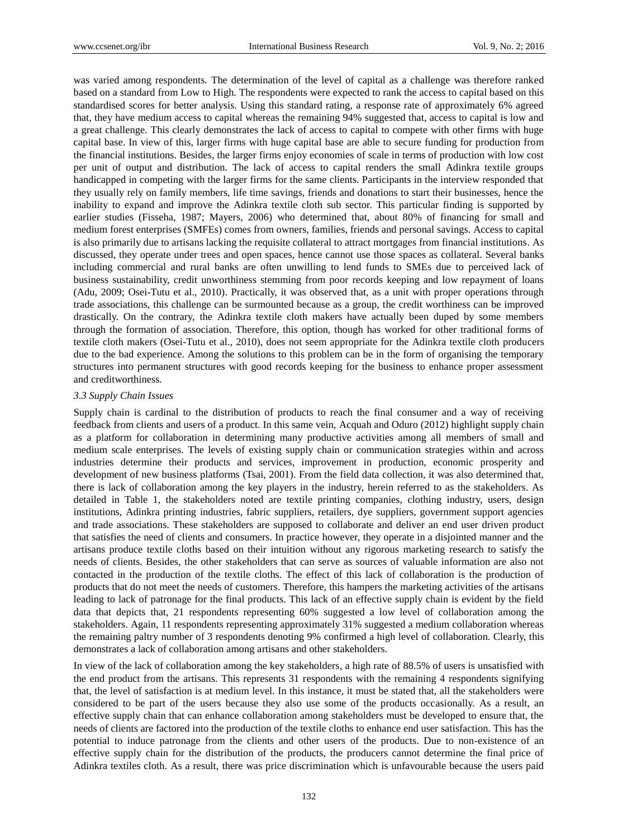was varied among respondents. The determination of the level of capital as a challenge was therefore ranked based on a standard from Low to High. The respondents were expected to rank the access to capital based on this standardised scores for better analysis. Using this standard rating, a response rate of approximately 6% agreed that, they have medium access to capital whereas the remaining 94% suggested that, access to capital is low and a great challenge. This clearly demonstrates the lack of access to capital to compete with other firms with huge capital base. In view of this, larger firms with huge capital base are able to secure funding for production from the financial institutions. Besides, the larger firms enjoy economies of scale in terms of production with low cost per unit of output and distribution. The lack of access to capital renders the small Adinkra textile groups handicapped in competing with the larger firms for the same clients. Participants in the interview responded that they usually rely on family members, life time savings, friends and donations to start their businesses, hence the inability to expand and improve the Adinkra textile cloth sub sector. This particular finding is supported by earlier studies (Fisseha, 1987; Mayers, 2006) who determined that, about 80% of financing for small and medium forest enterprises (SMFEs) comes from owners, families, friends and personal savings. Access to capital is also primarily due to artisans lacking the requisite collateral to attract mortgages from financial institutions. As discussed, they operate under trees and open spaces, hence cannot use those spaces as collateral. Several banks including commercial and rural banks are often unwilling to lend funds to SMEs due to perceived lack of business sustainability, credit unworthiness stemming from poor records keeping and low repayment of loans (Adu, 2009; Osei-Tutu et al., 2010). Practically, it was observed that, as a unit with proper operations through trade associations, this challenge can be surmounted because as a group, the credit worthiness can be improved drastically. On the contrary, the Adinkra textile cloth makers have actually been duped by some members through the formation of association. Therefore, this option, though has worked for other traditional forms of textile cloth makers (Osei-Tutu et al., 2010), does not seem appropriate for the Adinkra textile cloth producers due to the bad experience. Among the solutions to this problem can be in the form of organising the temporary structures into permanent structures with good records keeping for the business to enhance proper assessment and creditworthiness.

#### *3.3 Supply Chain Issues*

Supply chain is cardinal to the distribution of products to reach the final consumer and a way of receiving feedback from clients and users of a product. In this same vein, Acquah and Oduro (2012) highlight supply chain as a platform for collaboration in determining many productive activities among all members of small and medium scale enterprises. The levels of existing supply chain or communication strategies within and across industries determine their products and services, improvement in production, economic prosperity and development of new business platforms (Tsai, 2001). From the field data collection, it was also determined that, there is lack of collaboration among the key players in the industry, herein referred to as the stakeholders. As detailed in Table 1, the stakeholders noted are textile printing companies, clothing industry, users, design institutions, Adinkra printing industries, fabric suppliers, retailers, dye suppliers, government support agencies and trade associations. These stakeholders are supposed to collaborate and deliver an end user driven product that satisfies the need of clients and consumers. In practice however, they operate in a disjointed manner and the artisans produce textile cloths based on their intuition without any rigorous marketing research to satisfy the needs of clients. Besides, the other stakeholders that can serve as sources of valuable information are also not contacted in the production of the textile cloths. The effect of this lack of collaboration is the production of products that do not meet the needs of customers. Therefore, this hampers the marketing activities of the artisans leading to lack of patronage for the final products. This lack of an effective supply chain is evident by the field data that depicts that, 21 respondents representing 60% suggested a low level of collaboration among the stakeholders. Again, 11 respondents representing approximately 31% suggested a medium collaboration whereas the remaining paltry number of 3 respondents denoting 9% confirmed a high level of collaboration. Clearly, this demonstrates a lack of collaboration among artisans and other stakeholders.

In view of the lack of collaboration among the key stakeholders, a high rate of 88.5% of users is unsatisfied with the end product from the artisans. This represents 31 respondents with the remaining 4 respondents signifying that, the level of satisfaction is at medium level. In this instance, it must be stated that, all the stakeholders were considered to be part of the users because they also use some of the products occasionally. As a result, an effective supply chain that can enhance collaboration among stakeholders must be developed to ensure that, the needs of clients are factored into the production of the textile cloths to enhance end user satisfaction. This has the potential to induce patronage from the clients and other users of the products. Due to non-existence of an effective supply chain for the distribution of the products, the producers cannot determine the final price of Adinkra textiles cloth. As a result, there was price discrimination which is unfavourable because the users paid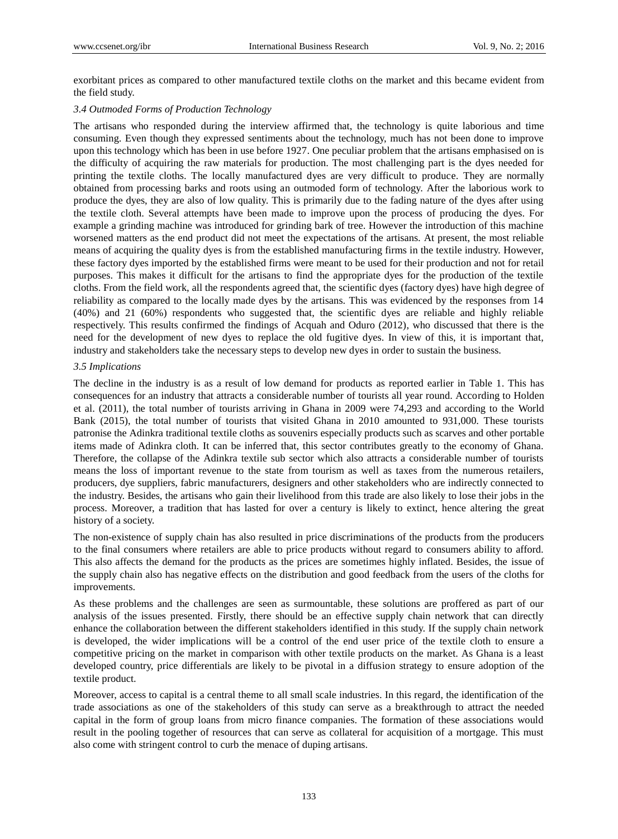exorbitant prices as compared to other manufactured textile cloths on the market and this became evident from the field study.

### *3.4 Outmoded Forms of Production Technology*

The artisans who responded during the interview affirmed that, the technology is quite laborious and time consuming. Even though they expressed sentiments about the technology, much has not been done to improve upon this technology which has been in use before 1927. One peculiar problem that the artisans emphasised on is the difficulty of acquiring the raw materials for production. The most challenging part is the dyes needed for printing the textile cloths. The locally manufactured dyes are very difficult to produce. They are normally obtained from processing barks and roots using an outmoded form of technology. After the laborious work to produce the dyes, they are also of low quality. This is primarily due to the fading nature of the dyes after using the textile cloth. Several attempts have been made to improve upon the process of producing the dyes. For example a grinding machine was introduced for grinding bark of tree. However the introduction of this machine worsened matters as the end product did not meet the expectations of the artisans. At present, the most reliable means of acquiring the quality dyes is from the established manufacturing firms in the textile industry. However, these factory dyes imported by the established firms were meant to be used for their production and not for retail purposes. This makes it difficult for the artisans to find the appropriate dyes for the production of the textile cloths. From the field work, all the respondents agreed that, the scientific dyes (factory dyes) have high degree of reliability as compared to the locally made dyes by the artisans. This was evidenced by the responses from 14 (40%) and 21 (60%) respondents who suggested that, the scientific dyes are reliable and highly reliable respectively. This results confirmed the findings of Acquah and Oduro (2012), who discussed that there is the need for the development of new dyes to replace the old fugitive dyes. In view of this, it is important that, industry and stakeholders take the necessary steps to develop new dyes in order to sustain the business.

## *3.5 Implications*

The decline in the industry is as a result of low demand for products as reported earlier in Table 1. This has consequences for an industry that attracts a considerable number of tourists all year round. According to Holden et al. (2011), the total number of tourists arriving in Ghana in 2009 were 74,293 and according to the World Bank (2015), the total number of tourists that visited Ghana in 2010 amounted to 931,000. These tourists patronise the Adinkra traditional textile cloths as souvenirs especially products such as scarves and other portable items made of Adinkra cloth. It can be inferred that, this sector contributes greatly to the economy of Ghana. Therefore, the collapse of the Adinkra textile sub sector which also attracts a considerable number of tourists means the loss of important revenue to the state from tourism as well as taxes from the numerous retailers, producers, dye suppliers, fabric manufacturers, designers and other stakeholders who are indirectly connected to the industry. Besides, the artisans who gain their livelihood from this trade are also likely to lose their jobs in the process. Moreover, a tradition that has lasted for over a century is likely to extinct, hence altering the great history of a society.

The non-existence of supply chain has also resulted in price discriminations of the products from the producers to the final consumers where retailers are able to price products without regard to consumers ability to afford. This also affects the demand for the products as the prices are sometimes highly inflated. Besides, the issue of the supply chain also has negative effects on the distribution and good feedback from the users of the cloths for improvements.

As these problems and the challenges are seen as surmountable, these solutions are proffered as part of our analysis of the issues presented. Firstly, there should be an effective supply chain network that can directly enhance the collaboration between the different stakeholders identified in this study. If the supply chain network is developed, the wider implications will be a control of the end user price of the textile cloth to ensure a competitive pricing on the market in comparison with other textile products on the market. As Ghana is a least developed country, price differentials are likely to be pivotal in a diffusion strategy to ensure adoption of the textile product.

Moreover, access to capital is a central theme to all small scale industries. In this regard, the identification of the trade associations as one of the stakeholders of this study can serve as a breakthrough to attract the needed capital in the form of group loans from micro finance companies. The formation of these associations would result in the pooling together of resources that can serve as collateral for acquisition of a mortgage. This must also come with stringent control to curb the menace of duping artisans.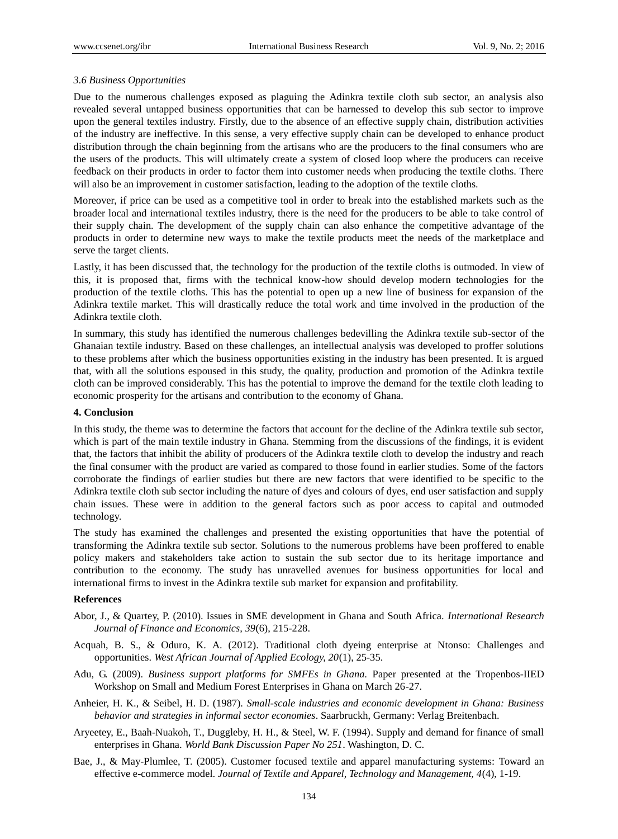## *3.6 Business Opportunities*

Due to the numerous challenges exposed as plaguing the Adinkra textile cloth sub sector, an analysis also revealed several untapped business opportunities that can be harnessed to develop this sub sector to improve upon the general textiles industry. Firstly, due to the absence of an effective supply chain, distribution activities of the industry are ineffective. In this sense, a very effective supply chain can be developed to enhance product distribution through the chain beginning from the artisans who are the producers to the final consumers who are the users of the products. This will ultimately create a system of closed loop where the producers can receive feedback on their products in order to factor them into customer needs when producing the textile cloths. There will also be an improvement in customer satisfaction, leading to the adoption of the textile cloths.

Moreover, if price can be used as a competitive tool in order to break into the established markets such as the broader local and international textiles industry, there is the need for the producers to be able to take control of their supply chain. The development of the supply chain can also enhance the competitive advantage of the products in order to determine new ways to make the textile products meet the needs of the marketplace and serve the target clients.

Lastly, it has been discussed that, the technology for the production of the textile cloths is outmoded. In view of this, it is proposed that, firms with the technical know-how should develop modern technologies for the production of the textile cloths. This has the potential to open up a new line of business for expansion of the Adinkra textile market. This will drastically reduce the total work and time involved in the production of the Adinkra textile cloth.

In summary, this study has identified the numerous challenges bedevilling the Adinkra textile sub-sector of the Ghanaian textile industry. Based on these challenges, an intellectual analysis was developed to proffer solutions to these problems after which the business opportunities existing in the industry has been presented. It is argued that, with all the solutions espoused in this study, the quality, production and promotion of the Adinkra textile cloth can be improved considerably. This has the potential to improve the demand for the textile cloth leading to economic prosperity for the artisans and contribution to the economy of Ghana.

## **4. Conclusion**

In this study, the theme was to determine the factors that account for the decline of the Adinkra textile sub sector, which is part of the main textile industry in Ghana. Stemming from the discussions of the findings, it is evident that, the factors that inhibit the ability of producers of the Adinkra textile cloth to develop the industry and reach the final consumer with the product are varied as compared to those found in earlier studies. Some of the factors corroborate the findings of earlier studies but there are new factors that were identified to be specific to the Adinkra textile cloth sub sector including the nature of dyes and colours of dyes, end user satisfaction and supply chain issues. These were in addition to the general factors such as poor access to capital and outmoded technology.

The study has examined the challenges and presented the existing opportunities that have the potential of transforming the Adinkra textile sub sector. Solutions to the numerous problems have been proffered to enable policy makers and stakeholders take action to sustain the sub sector due to its heritage importance and contribution to the economy. The study has unravelled avenues for business opportunities for local and international firms to invest in the Adinkra textile sub market for expansion and profitability.

#### **References**

- Abor, J., & Quartey, P. (2010). Issues in SME development in Ghana and South Africa. *International Research Journal of Finance and Economics, 39*(6), 215-228.
- Acquah, B. S., & Oduro, K. A. (2012). Traditional cloth dyeing enterprise at Ntonso: Challenges and opportunities. *West African Journal of Applied Ecology, 20*(1), 25-35.
- Adu, G. (2009). *Business support platforms for SMFEs in Ghana.* Paper presented at the Tropenbos-IIED Workshop on Small and Medium Forest Enterprises in Ghana on March 26-27.
- Anheier, H. K., & Seibel, H. D. (1987). *Small-scale industries and economic development in Ghana: Business behavior and strategies in informal sector economies*. Saarbruckh, Germany: Verlag Breitenbach.
- Aryeetey, E., Baah-Nuakoh, T., Duggleby, H. H., & Steel, W. F. (1994). Supply and demand for finance of small enterprises in Ghana. *World Bank Discussion Paper No 251*. Washington, D. C.
- Bae, J., & May-Plumlee, T. (2005). Customer focused textile and apparel manufacturing systems: Toward an effective e-commerce model. *Journal of Textile and Apparel, Technology and Management, 4*(4), 1-19.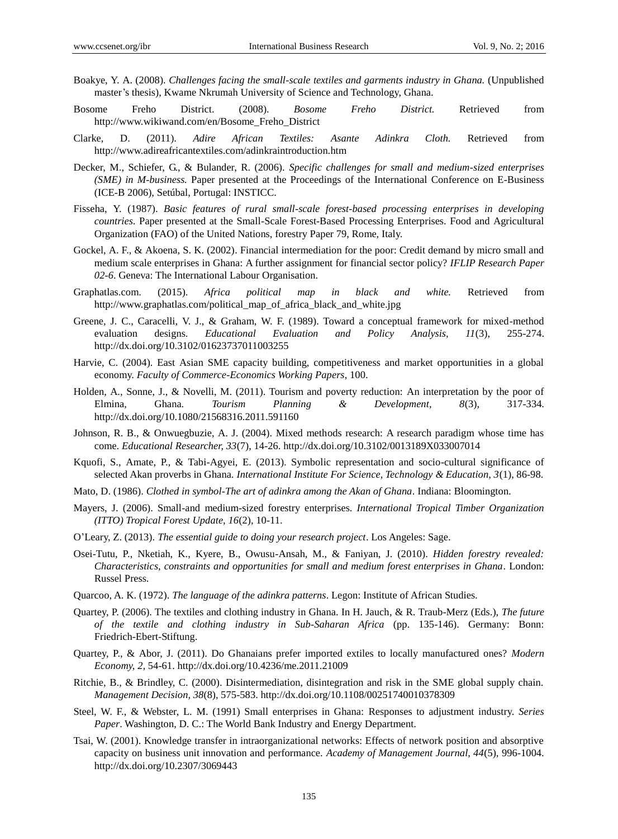- Boakye, Y. A. (2008). *Challenges facing the small-scale textiles and garments industry in Ghana.* (Unpublished master's thesis), Kwame Nkrumah University of Science and Technology, Ghana.
- Bosome Freho District. (2008). *Bosome Freho District.* Retrieved from http://www.wikiwand.com/en/Bosome\_Freho\_District
- Clarke, D. (2011). *Adire African Textiles: Asante Adinkra Cloth.* Retrieved from http://www.adireafricantextiles.com/adinkraintroduction.htm
- Decker, M., Schiefer, G., & Bulander, R. (2006). *Specific challenges for small and medium-sized enterprises (SME) in M-business.* Paper presented at the Proceedings of the International Conference on E-Business (ICE-B 2006), Setúbal, Portugal: INSTICC.
- Fisseha, Y. (1987). *Basic features of rural small-scale forest-based processing enterprises in developing countries*. Paper presented at the Small-Scale Forest-Based Processing Enterprises. Food and Agricultural Organization (FAO) of the United Nations, forestry Paper 79, Rome, Italy.
- Gockel, A. F., & Akoena, S. K. (2002). Financial intermediation for the poor: Credit demand by micro small and medium scale enterprises in Ghana: A further assignment for financial sector policy? *IFLIP Research Paper 02-6*. Geneva: The International Labour Organisation.
- Graphatlas.com. (2015). *Africa political map in black and white.* Retrieved from http://www.graphatlas.com/political\_map\_of\_africa\_black\_and\_white.jpg
- Greene, J. C., Caracelli, V. J., & Graham, W. F. (1989). Toward a conceptual framework for mixed-method evaluation designs. *Educational Evaluation and Policy Analysis, 11*(3), 255-274. <http://dx.doi.org/10.3102/01623737011003255>
- Harvie, C. (2004). East Asian SME capacity building, competitiveness and market opportunities in a global economy. *Faculty of Commerce-Economics Working Papers*, 100.
- Holden, A., Sonne, J., & Novelli, M. (2011). Tourism and poverty reduction: An interpretation by the poor of Elmina, Ghana. *Tourism Planning & Development, 8*(3), 317-334. http://dx.doi.org/10.1080/21568316.2011.591160
- Johnson, R. B., & Onwuegbuzie, A. J. (2004). Mixed methods research: A research paradigm whose time has come. *Educational Researcher, 33*(7), 14-26. http://dx.doi.org/10.3102/0013189X033007014
- Kquofi, S., Amate, P., & Tabi-Agyei, E. (2013). Symbolic representation and socio-cultural significance of selected Akan proverbs in Ghana. *International Institute For Science, Technology & Education, 3*(1), 86-98.
- Mato, D. (1986). *Clothed in symbol-The art of adinkra among the Akan of Ghana*. Indiana: Bloomington.
- Mayers, J. (2006). Small-and medium-sized forestry enterprises. *International Tropical Timber Organization (ITTO) Tropical Forest Update, 16*(2), 10-11.
- O'Leary, Z. (2013). *The essential guide to doing your research project*. Los Angeles: Sage.
- Osei-Tutu, P., Nketiah, K., Kyere, B., Owusu-Ansah, M., & Faniyan, J. (2010). *Hidden forestry revealed: Characteristics, constraints and opportunities for small and medium forest enterprises in Ghana*. London: Russel Press.
- Quarcoo, A. K. (1972). *The language of the adinkra patterns*. Legon: Institute of African Studies.
- Quartey, P. (2006). The textiles and clothing industry in Ghana. In H. Jauch, & R. Traub-Merz (Eds.), *The future of the textile and clothing industry in Sub-Saharan Africa* (pp. 135-146). Germany: Bonn: Friedrich-Ebert-Stiftung.
- Quartey, P., & Abor, J. (2011). Do Ghanaians prefer imported extiles to locally manufactured ones? *Modern Economy, 2*, 54-61. http://dx.doi.org/10.4236/me.2011.21009
- Ritchie, B., & Brindley, C. (2000). Disintermediation, disintegration and risk in the SME global supply chain. *Management Decision, 38*(8), 575-583. http://dx.doi.org/10.1108/00251740010378309
- Steel, W. F., & Webster, L. M. (1991) Small enterprises in Ghana: Responses to adjustment industry. *Series Paper*. Washington, D. C.: The World Bank Industry and Energy Department.
- Tsai, W. (2001). Knowledge transfer in intraorganizational networks: Effects of network position and absorptive capacity on business unit innovation and performance. *Academy of Management Journal, 44*(5), 996-1004. http://dx.doi.org/10.2307/3069443